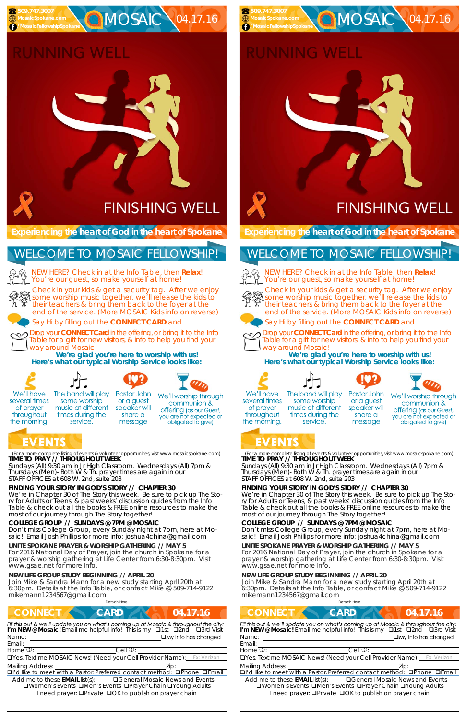(For a more complete listing of events & volunteer opportunities, visit www.mosaicspokane.com) **TIME TO PRAY // THROUGHOUT WEEK** 

*Sundays* (All) 9:30 am in Jr High Classroom. *Wednesdays* (All) 7pm & *Thursdays* (Men)- Both W & Th. prayer times are again in our *STAFF OFFICES at 608 W. 2nd, suite 203*

### **FINDING YOUR STORY IN GOD'S STORY // CHAPTER 30**

We're in Chapter 30 of The Story this week. Be sure to pick up The Story for Adults or Teens, & past weeks' discussion guides from the Info Table & check out all the books & FREE online resources to make the most of our journey through The Story together!

……………………….……………………………………………………….Detach Here……………………………………………..………………………………… **CONNECT CARD 14.17.16** Fill this out & we'll update you on what's coming up at Mosaic & throughout the city: **I'm NEW @ Mosaic!** Email me helpful info! This is my □1st □2nd □3rd Visit Name: Email:  $H$ ome  $\mathbb{D}$ :  $\qquad \qquad$  Cell  $\mathbb{D}$ : Yes, Text me MOSAIC News! (Need your Cell Provider Name): Ex: Verizon Mailing Address:  $\Box$ I'd like to meet with a Pastor. Preferred contact method:  $\Box$ Phone  $\Box$ Email Add me to these **EMAIL** list(s): General Mosaic News and Events **QWomen's Events QMen's Events QPrayer Chain QYoung Adults** I need prayer: **O**Private **O**OK to publish on prayer chain

### **COLLEGE GROUP // SUNDAYS @ 7PM @ MOSAIC**

some worship

music at different

times during the

service.

NEW HERE? Check in at the Info Table, then **Relax**! You're our guest, so make yourself at home!

Don't miss College Group, every Sunday night at 7pm, here at Mosaic! Email Josh Phillips for more info: joshua4china@gmail.com

# RUNNING WELL

#### **UNITE SPOKANE PRAYER & WORSHIP GATHERING // MAY 5**

For 2016 National Day of Prayer, join the church in Spokane for a prayer & worship gathering at Life Center from 6:30-8:30pm. Visit www.gsae.net for more info.

#### **NEW LIFE GROUP STUDY BEGINNING // APRIL 20**

Join Mike & Sandra Mann for a new study starting April 20th at 6:30pm. Details at the Info Table, or contact Mike @ 509-714-9122 mikemann1234567@gmail.com

**Experiencing the heart of God in the heart of Spokane** 

Check in your kids & get a security tag. After we enjoy some worship music together, we'll release the kids to their teachers & bring them back to the foyer at the end of the service. (More MOSAIC Kids info on reverse)

Say Hi by filling out the **CONNECT CARD** and...

Drop your **CONNECT Card** in the offering, or bring it to the Info Table for a gift for new visitors, & info to help you find your way around Mosaic!

**We're glad you're here to worship with us! Here's what our typical Worship Service looks like:** 



of prayer

throughout

the morning.

NEW HERE? Check in at the Info Table, then **Relax**! You're our guest, so make yourself at home!



### **RUNNING WELL**

 **509.747.3007 MosaicSpokane.com /MosaicFellowshipSpokane**

# **FINISHING WELL**

**C**MOSAIC 04.17.16

### WELCOME TO MOSAIC FELLOWSHIP!

We'll have several times

Pastor John The band will play



or a guest

speaker will

share a

message





We'll worship through communion &

**offering** (as our Guest, you are not expected or obligated to give)

## EVENTS

(For a more complete listing of events & volunteer opportunities, visit www.mosaicspokane.com) **TIME TO PRAY // THROUGHOUT WEEK** 

*Sundays* (All) 9:30 am in Jr High Classroom. *Wednesdays* (All) 7pm & *Thursdays* (Men)- Both W & Th. prayer times are again in our *STAFF OFFICES at 608 W. 2nd, suite 203*

#### **FINDING YOUR STORY IN GOD'S STORY // CHAPTER 30**

We're in Chapter 30 of The Story this week. Be sure to pick up The Story for Adults or Teens, & past weeks' discussion guides from the Info Table & check out all the books & FREE online resources to make the most of our journey through The Story together!

### **COLLEGE GROUP // SUNDAYS @ 7PM @ MOSAIC**

Don't miss College Group, every Sunday night at 7pm, here at Mosaic! Email Josh Phillips for more info: joshua4china@gmail.com

#### **UNITE SPOKANE PRAYER & WORSHIP GATHERING // MAY 5**

For 2016 National Day of Prayer, join the church in Spokane for a prayer & worship gathering at Life Center from 6:30-8:30pm. Visit www.gsae.net for more info.

#### **NEW LIFE GROUP STUDY BEGINNING // APRIL 20**

Join Mike & Sandra Mann for a new study starting April 20th at 6:30pm. Details at the Info Table, or contact Mike @ 509-714-9122 mikemann1234567@gmail.com

**Experiencing the heart of God in the heart of Spokane** 

### WELCOME TO MOSAIC FELLOWSHIP!



Check in your kids & get a security tag. After we enjoy some worship music together, we'll release the kids to their teachers & bring them back to the foyer at the end of the service. (More MOSAIC Kids info on reverse)



Say Hi by filling out the **CONNECT CARD** and...



Drop your **CONNECT Card** in the offering, or bring it to the Info Table for a gift for new visitors, & info to help you find your way around Mosaic!

|                                       | Detach Here                                                                                                                                                              |                                         |
|---------------------------------------|--------------------------------------------------------------------------------------------------------------------------------------------------------------------------|-----------------------------------------|
| <b>CONNECT</b>                        | <b>CARD</b>                                                                                                                                                              | 04.17.16                                |
|                                       | Fill this out & we'll update you on what's coming up at Mosaic & throughout the city:<br>I'm NEW @ Mosaic! Email me helpful info! This is my <b>Q1st Q2nd Q3rd Visit</b> |                                         |
| Name:                                 |                                                                                                                                                                          | $\Box$ My Info has changed              |
| Email:                                |                                                                                                                                                                          |                                         |
| Home $\overline{v}$ :                 | $Cell$ $Q$                                                                                                                                                               |                                         |
|                                       | <b>OYes, Text me MOSAIC News! (Need your Cell Provider Name):</b> Ex: Verizon                                                                                            |                                         |
| <b>Mailing Address:</b>               |                                                                                                                                                                          | Zip:                                    |
|                                       | $\Box$ I'd like to meet with a Pastor Preferred contact method: $\Box$ Phone $\Box$ Email                                                                                |                                         |
| Add me to these <b>EMAIL</b> list(s): | □Women's Events □Men's Events □Prayer Chain □Young Adults<br>I need prayer: □ Private □ OK to publish on prayer chain                                                    | <b>■ General Mosaic News and Events</b> |

**We're glad you're here to worship with us! Here's what our typical Worship Service looks like:** 









several times of prayer throughout the morning.

The band will play some worship music at different times during the service.

Pastor John or a guest speaker will share a message



# EVENTS

 **509.747.3007 MosaicSpokane.com /MosaicFellowshipSpokane**

# **FINISHING WELL**

**C**MOSAIC 04.17.16